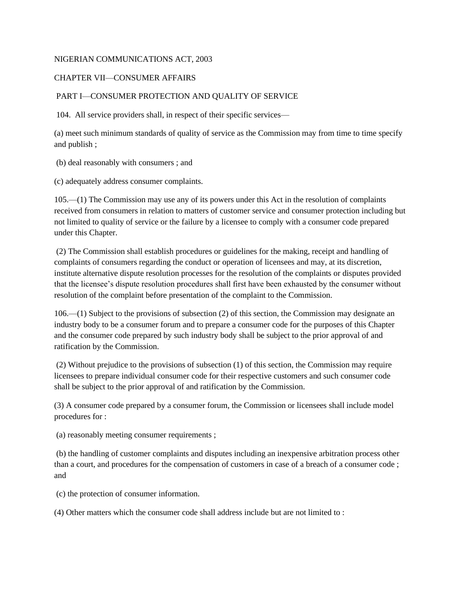## NIGERIAN COMMUNICATIONS ACT, 2003

## CHAPTER VII—CONSUMER AFFAIRS

## PART I—CONSUMER PROTECTION AND QUALITY OF SERVICE

104. All service providers shall, in respect of their specific services—

(a) meet such minimum standards of quality of service as the Commission may from time to time specify and publish ;

(b) deal reasonably with consumers ; and

(c) adequately address consumer complaints.

105.—(1) The Commission may use any of its powers under this Act in the resolution of complaints received from consumers in relation to matters of customer service and consumer protection including but not limited to quality of service or the failure by a licensee to comply with a consumer code prepared under this Chapter.

(2) The Commission shall establish procedures or guidelines for the making, receipt and handling of complaints of consumers regarding the conduct or operation of licensees and may, at its discretion, institute alternative dispute resolution processes for the resolution of the complaints or disputes provided that the licensee's dispute resolution procedures shall first have been exhausted by the consumer without resolution of the complaint before presentation of the complaint to the Commission.

106.—(1) Subject to the provisions of subsection (2) of this section, the Commission may designate an industry body to be a consumer forum and to prepare a consumer code for the purposes of this Chapter and the consumer code prepared by such industry body shall be subject to the prior approval of and ratification by the Commission.

(2) Without prejudice to the provisions of subsection (1) of this section, the Commission may require licensees to prepare individual consumer code for their respective customers and such consumer code shall be subject to the prior approval of and ratification by the Commission.

(3) A consumer code prepared by a consumer forum, the Commission or licensees shall include model procedures for :

(a) reasonably meeting consumer requirements ;

(b) the handling of customer complaints and disputes including an inexpensive arbitration process other than a court, and procedures for the compensation of customers in case of a breach of a consumer code ; and

(c) the protection of consumer information.

(4) Other matters which the consumer code shall address include but are not limited to :